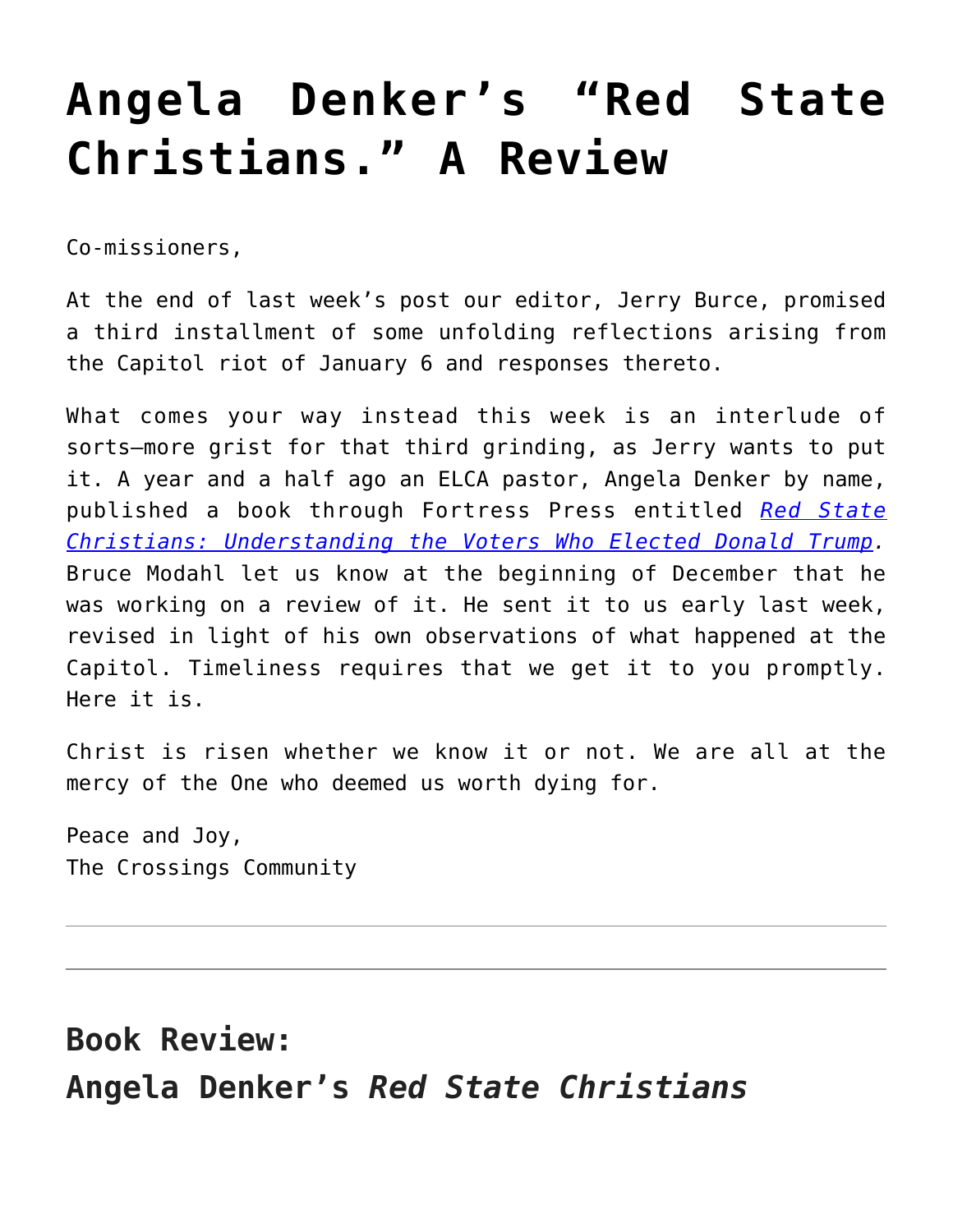## **[Angela Denker's "Red State](https://crossings.org/angela-denkers-red-state-christians-a-review/) [Christians." A Review](https://crossings.org/angela-denkers-red-state-christians-a-review/)**

Co-missioners,

At the end of last week's post our editor, Jerry Burce, promised a third installment of some unfolding reflections arising from the Capitol riot of January 6 and responses thereto.

What comes your way instead this week is an interlude of sorts—more grist for that third grinding, as Jerry wants to put it. A year and a half ago an ELCA pastor, Angela Denker by name, published a book through Fortress Press entitled *[Red State](https://www.amazon.com/Red-State-Christians-Understanding-Elected/dp/1506449085) [Christians: Understanding the Voters Who Elected Donald Trump](https://www.amazon.com/Red-State-Christians-Understanding-Elected/dp/1506449085).* Bruce Modahl let us know at the beginning of December that he was working on a review of it. He sent it to us early last week, revised in light of his own observations of what happened at the Capitol. Timeliness requires that we get it to you promptly. Here it is.

Christ is risen whether we know it or not. We are all at the mercy of the One who deemed us worth dying for.

Peace and Joy, The Crossings Community

## **Book Review: Angela Denker's** *Red State Christians*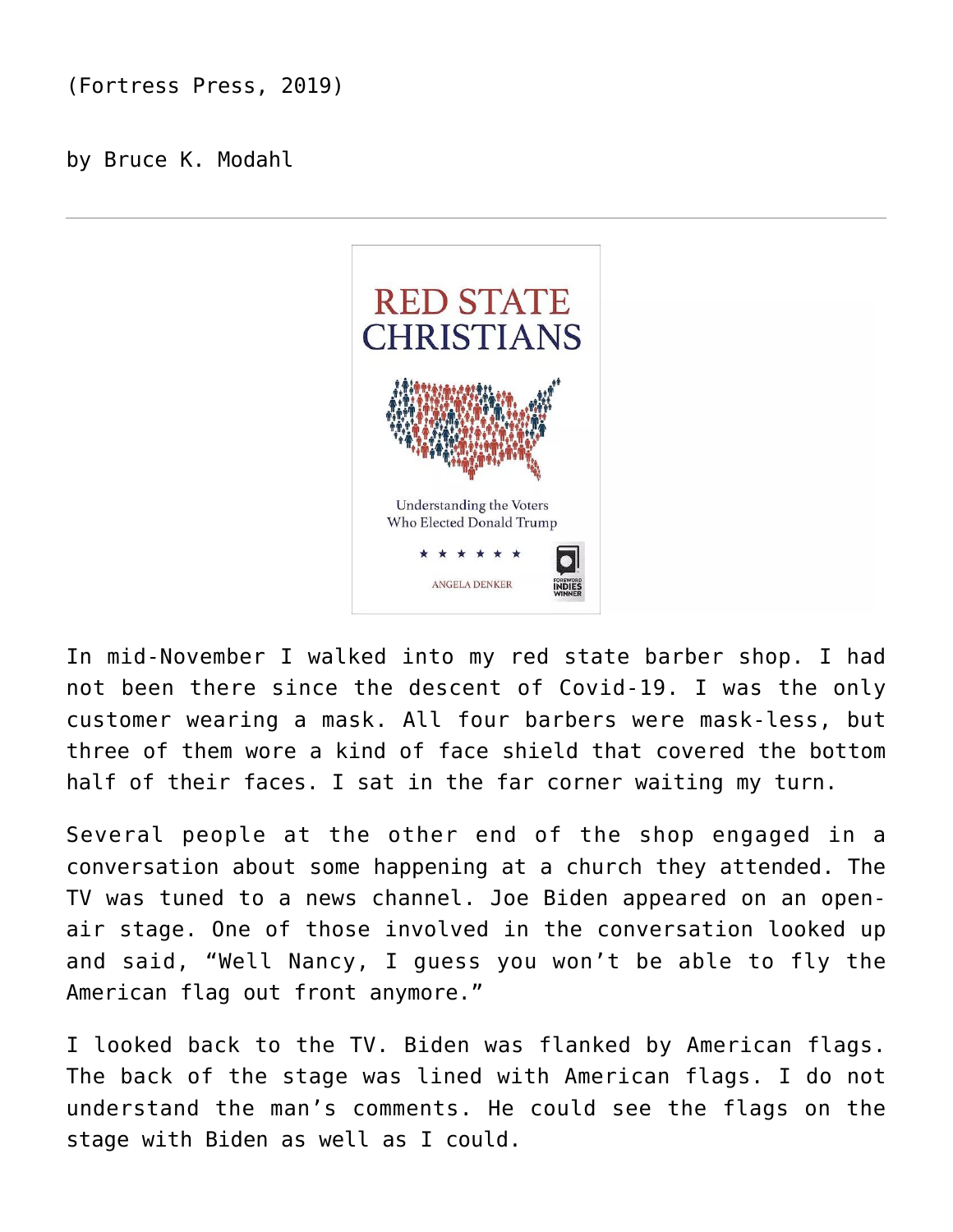(Fortress Press, 2019)

by Bruce K. Modahl



In mid-November I walked into my red state barber shop. I had not been there since the descent of Covid-19. I was the only customer wearing a mask. All four barbers were mask-less, but three of them wore a kind of face shield that covered the bottom half of their faces. I sat in the far corner waiting my turn.

Several people at the other end of the shop engaged in a conversation about some happening at a church they attended. The TV was tuned to a news channel. Joe Biden appeared on an openair stage. One of those involved in the conversation looked up and said, "Well Nancy, I guess you won't be able to fly the American flag out front anymore."

I looked back to the TV. Biden was flanked by American flags. The back of the stage was lined with American flags. I do not understand the man's comments. He could see the flags on the stage with Biden as well as I could.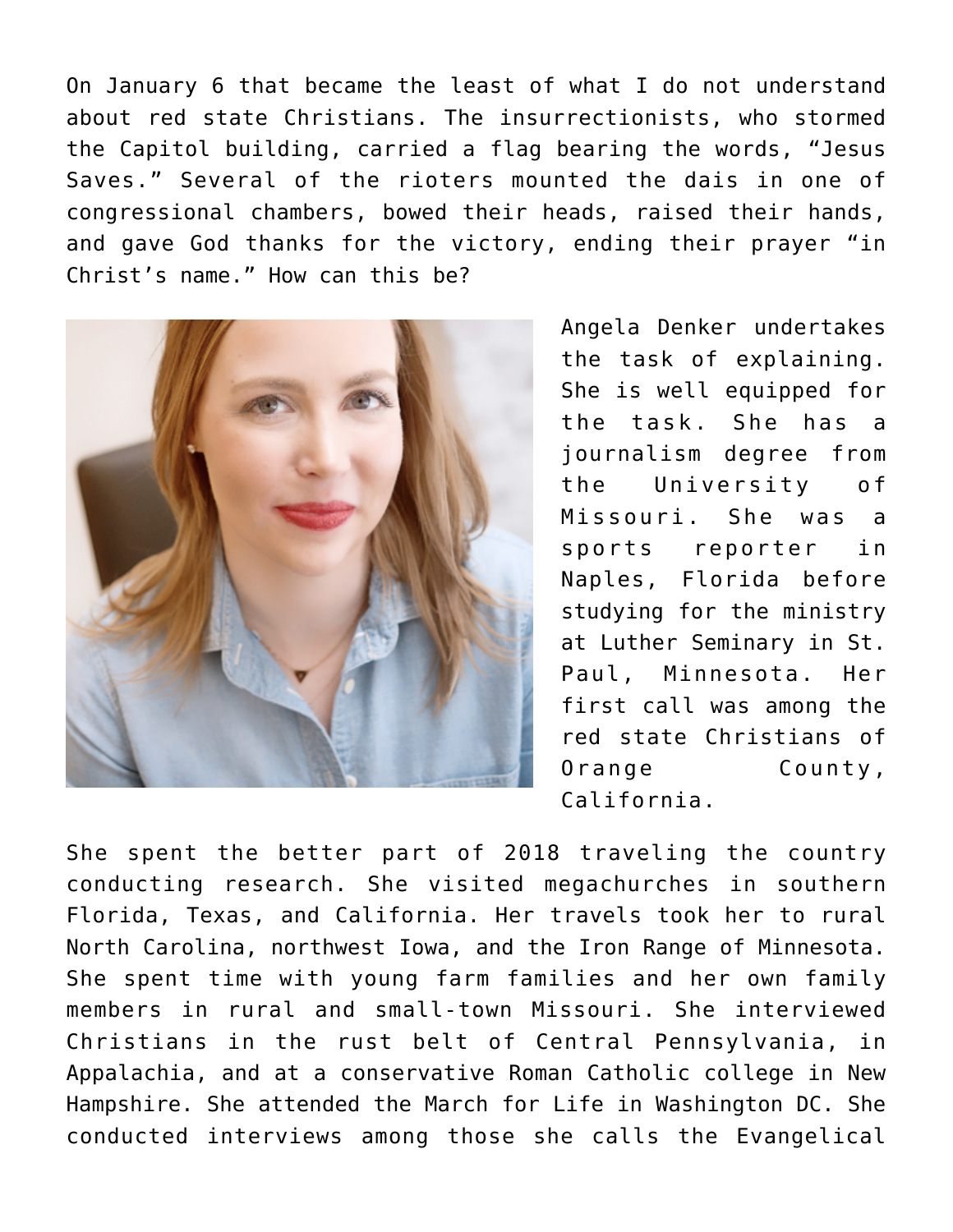On January 6 that became the least of what I do not understand about red state Christians. The insurrectionists, who stormed the Capitol building, carried a flag bearing the words, "Jesus Saves." Several of the rioters mounted the dais in one of congressional chambers, bowed their heads, raised their hands, and gave God thanks for the victory, ending their prayer "in Christ's name." How can this be?



Angela Denker undertakes the task of explaining. She is well equipped for the task. She has a journalism degree from the University of Missouri. She was a sports reporter in Naples, Florida before studying for the ministry at Luther Seminary in St. Paul, Minnesota. Her first call was among the red state Christians of Orange County, California.

She spent the better part of 2018 traveling the country conducting research. She visited megachurches in southern Florida, Texas, and California. Her travels took her to rural North Carolina, northwest Iowa, and the Iron Range of Minnesota. She spent time with young farm families and her own family members in rural and small-town Missouri. She interviewed Christians in the rust belt of Central Pennsylvania, in Appalachia, and at a conservative Roman Catholic college in New Hampshire. She attended the March for Life in Washington DC. She conducted interviews among those she calls the Evangelical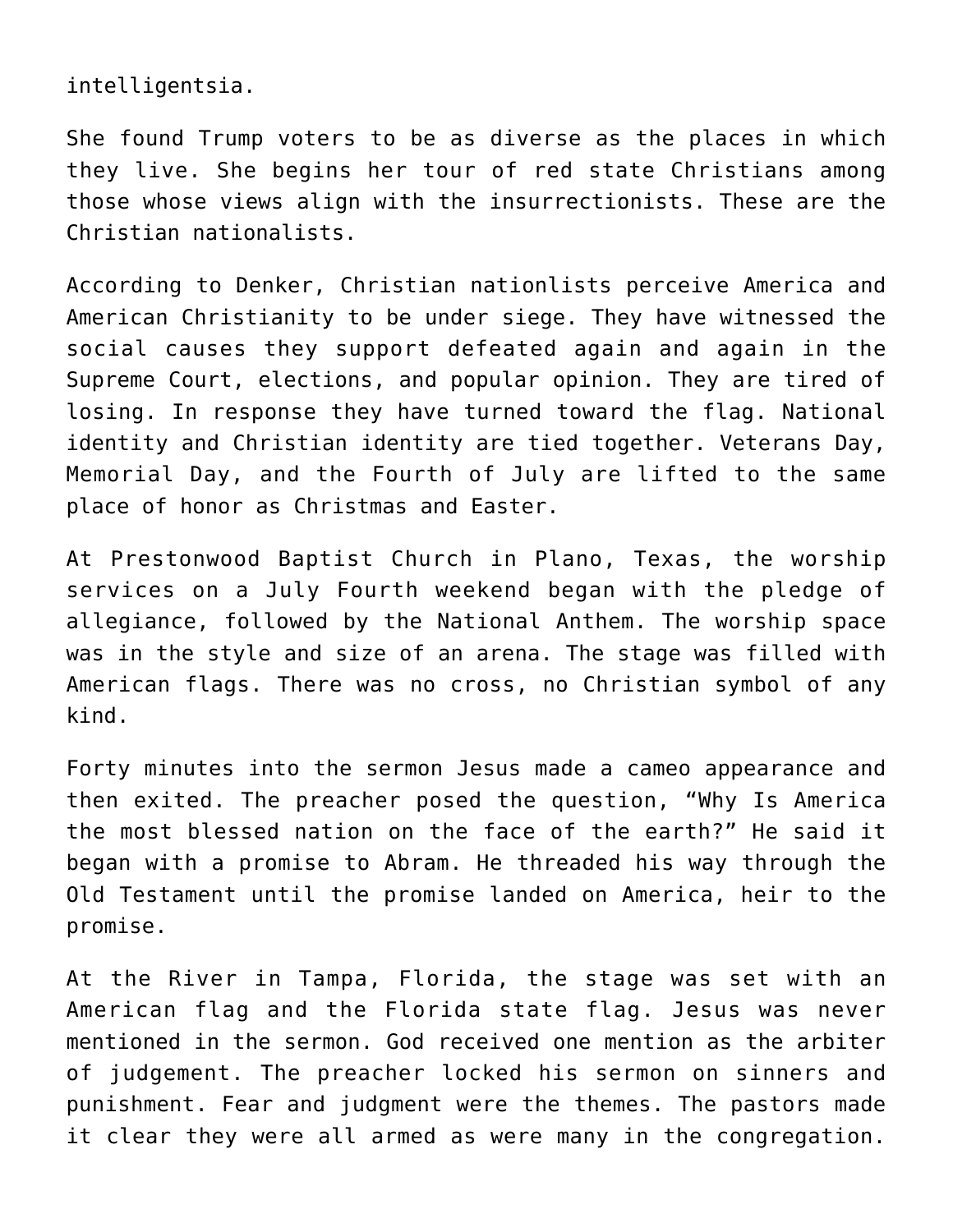intelligentsia.

She found Trump voters to be as diverse as the places in which they live. She begins her tour of red state Christians among those whose views align with the insurrectionists. These are the Christian nationalists.

According to Denker, Christian nationlists perceive America and American Christianity to be under siege. They have witnessed the social causes they support defeated again and again in the Supreme Court, elections, and popular opinion. They are tired of losing. In response they have turned toward the flag. National identity and Christian identity are tied together. Veterans Day, Memorial Day, and the Fourth of July are lifted to the same place of honor as Christmas and Easter.

At Prestonwood Baptist Church in Plano, Texas, the worship services on a July Fourth weekend began with the pledge of allegiance, followed by the National Anthem. The worship space was in the style and size of an arena. The stage was filled with American flags. There was no cross, no Christian symbol of any kind.

Forty minutes into the sermon Jesus made a cameo appearance and then exited. The preacher posed the question, "Why Is America the most blessed nation on the face of the earth?" He said it began with a promise to Abram. He threaded his way through the Old Testament until the promise landed on America, heir to the promise.

At the River in Tampa, Florida, the stage was set with an American flag and the Florida state flag. Jesus was never mentioned in the sermon. God received one mention as the arbiter of judgement. The preacher locked his sermon on sinners and punishment. Fear and judgment were the themes. The pastors made it clear they were all armed as were many in the congregation.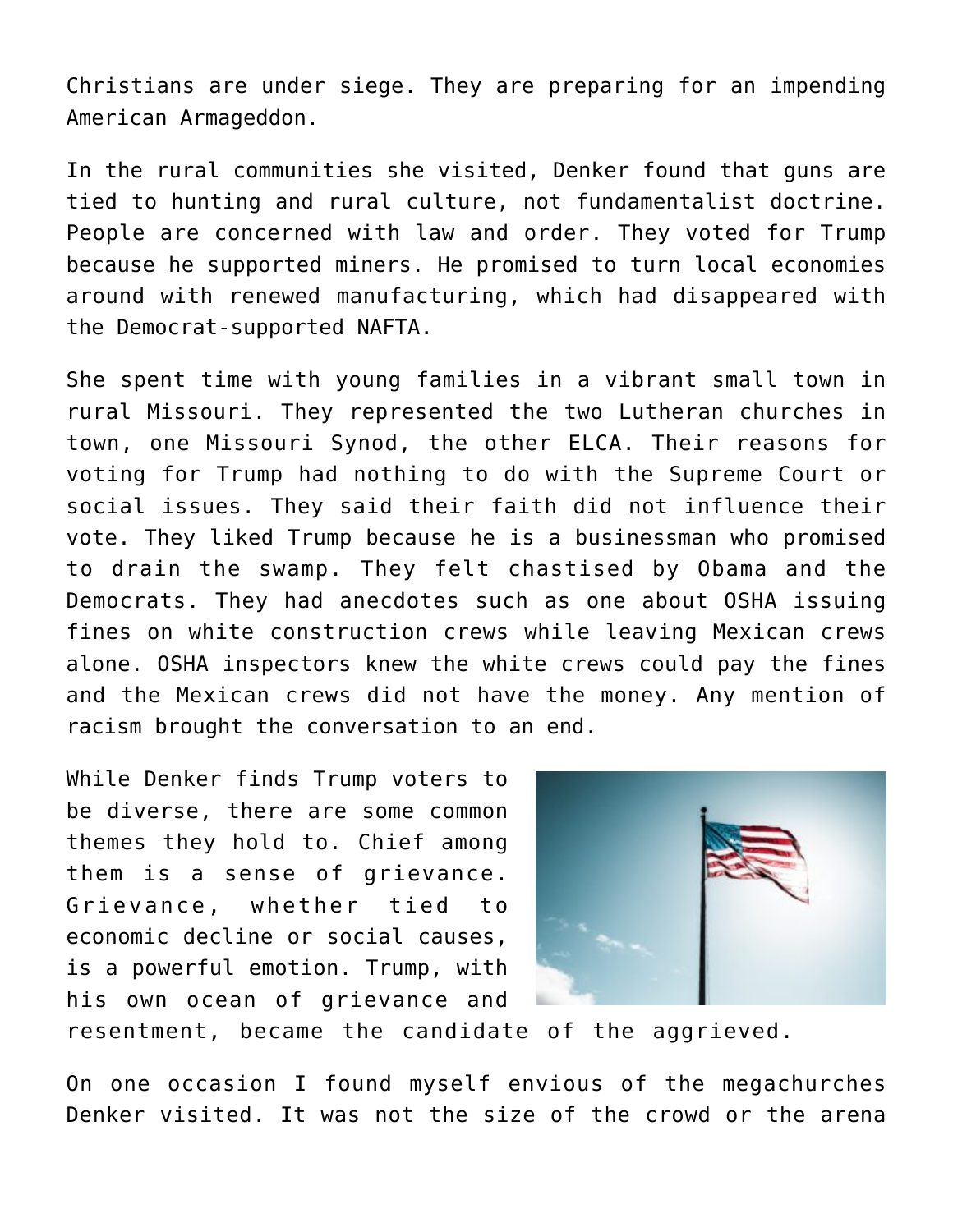Christians are under siege. They are preparing for an impending American Armageddon.

In the rural communities she visited, Denker found that guns are tied to hunting and rural culture, not fundamentalist doctrine. People are concerned with law and order. They voted for Trump because he supported miners. He promised to turn local economies around with renewed manufacturing, which had disappeared with the Democrat-supported NAFTA.

She spent time with young families in a vibrant small town in rural Missouri. They represented the two Lutheran churches in town, one Missouri Synod, the other ELCA. Their reasons for voting for Trump had nothing to do with the Supreme Court or social issues. They said their faith did not influence their vote. They liked Trump because he is a businessman who promised to drain the swamp. They felt chastised by Obama and the Democrats. They had anecdotes such as one about OSHA issuing fines on white construction crews while leaving Mexican crews alone. OSHA inspectors knew the white crews could pay the fines and the Mexican crews did not have the money. Any mention of racism brought the conversation to an end.

While Denker finds Trump voters to be diverse, there are some common themes they hold to. Chief among them is a sense of grievance. Grievance, whether tied to economic decline or social causes, is a powerful emotion. Trump, with his own ocean of grievance and



resentment, became the candidate of the aggrieved.

On one occasion I found myself envious of the megachurches Denker visited. It was not the size of the crowd or the arena